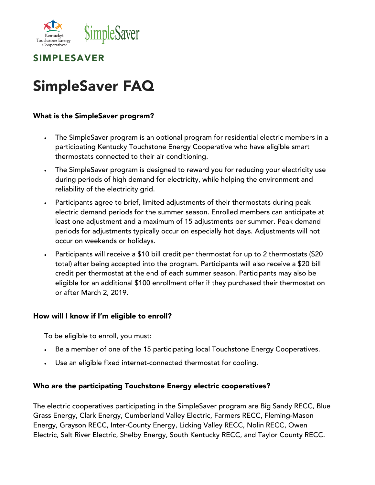



# SimpleSaver FAQ

## What is the SimpleSaver program?

- The SimpleSaver program is an optional program for residential electric members in a participating Kentucky Touchstone Energy Cooperative who have eligible smart thermostats connected to their air conditioning.
- The SimpleSaver program is designed to reward you for reducing your electricity use during periods of high demand for electricity, while helping the environment and reliability of the electricity grid.
- Participants agree to brief, limited adjustments of their thermostats during peak electric demand periods for the summer season. Enrolled members can anticipate at least one adjustment and a maximum of 15 adjustments per summer. Peak demand periods for adjustments typically occur on especially hot days. Adjustments will not occur on weekends or holidays.
- Participants will receive a \$10 bill credit per thermostat for up to 2 thermostats (\$20 total) after being accepted into the program. Participants will also receive a \$20 bill credit per thermostat at the end of each summer season. Participants may also be eligible for an additional \$100 enrollment offer if they purchased their thermostat on or after March 2, 2019.

#### How will I know if I'm eligible to enroll?

To be eligible to enroll, you must:

- Be a member of one of the 15 participating local Touchstone Energy Cooperatives.
- Use an eligible fixed internet-connected thermostat for cooling.

#### Who are the participating Touchstone Energy electric cooperatives?

The electric cooperatives participating in the SimpleSaver program are Big Sandy RECC, Blue Grass Energy, Clark Energy, Cumberland Valley Electric, Farmers RECC, Fleming-Mason Energy, Grayson RECC, Inter-County Energy, Licking Valley RECC, Nolin RECC, Owen Electric, Salt River Electric, Shelby Energy, South Kentucky RECC, and Taylor County RECC.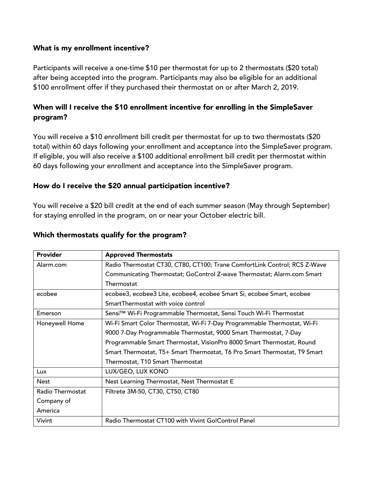## What is my enrollment incentive?

Participants will receive a one-time \$10 per thermostat for up to 2 thermostats (\$20 total) after being accepted into the program. Participants may also be eligible for an additional \$100 enrollment offer if they purchased their thermostat on or after March 2, 2019.

# When will I receive the \$10 enrollment incentive for enrolling in the SimpleSaver program?

You will receive a \$10 enrollment bill credit per thermostat for up to two thermostats (\$20 total) within 60 days following your enrollment and acceptance into the SimpleSaver program. If eligible, you will also receive a \$100 additional enrollment bill credit per thermostat within 60 days following your enrollment and acceptance into the SimpleSaver program.

## How do I receive the \$20 annual participation incentive?

You will receive a \$20 bill credit at the end of each summer season (May through September) for staying enrolled in the program, on or near your October electric bill.

| Provider         | <b>Approved Thermostats</b>                                               |
|------------------|---------------------------------------------------------------------------|
| Alarm.com        | Radio Thermostat CT30, CT80, CT100; Trane ComfortLink Control; RCS Z-Wave |
|                  | Communicating Thermostat; GoControl Z-wave Thermostat; Alarm.com Smart    |
|                  | Thermostat                                                                |
| ecobee           | ecobee3, ecobee3 Lite, ecobee4, ecobee Smart Si, ecobee Smart, ecobee     |
|                  | SmartThermostat with voice control                                        |
| Emerson          | Sensi™ Wi-Fi Programmable Thermostat, Sensi Touch Wi-Fi Thermostat        |
| Honeywell Home   | Wi-Fi Smart Color Thermostat, Wi-Fi 7-Day Programmable Thermostat, Wi-Fi  |
|                  | 9000 7-Day Programmable Thermostat, 9000 Smart Thermostat, 7-Day          |
|                  | Programmable Smart Thermostat, VisionPro 8000 Smart Thermostat, Round     |
|                  | Smart Thermostat, T5+ Smart Thermostat, T6 Pro Smart Thermostat, T9 Smart |
|                  | Thermostat, T10 Smart Thermostat                                          |
| <b>Lux</b>       | LUX/GEO, LUX KONO                                                         |
| <b>Nest</b>      | Nest Learning Thermostat, Nest Thermostat E                               |
| Radio Thermostat | Filtrete 3M-50, CT30, CT50, CT80                                          |
| Company of       |                                                                           |
| America          |                                                                           |
| Vivint           | Radio Thermostat CT100 with Vivint Go!Control Panel                       |

## Which thermostats qualify for the program?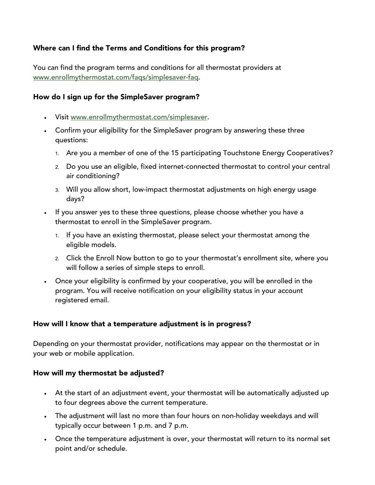# Where can I find the Terms and Conditions for this program?

You can find the program terms and conditions for all thermostat providers at www.enrollmythermostat.com/faqs/simplesaver-faq.

## How do I sign up for the SimpleSaver program?

- Visit www.enrollmythermostat.com/simplesaver.
- Confirm your eligibility for the SimpleSaver program by answering these three questions:
	- 1. Are you a member of one of the 15 participating Touchstone Energy Cooperatives?
	- 2. Do you use an eligible, fixed internet-connected thermostat to control your central air conditioning?
	- 3. Will you allow short, low-impact thermostat adjustments on high energy usage days?
- If you answer yes to these three questions, please choose whether you have a thermostat to enroll in the SimpleSaver program.
	- 1. If you have an existing thermostat, please select your thermostat among the eligible models.
	- 2. Click the Enroll Now button to go to your thermostat's enrollment site, where you will follow a series of simple steps to enroll.
- Once your eligibility is confirmed by your cooperative, you will be enrolled in the program. You will receive notification on your eligibility status in your account registered email.

## How will I know that a temperature adjustment is in progress?

Depending on your thermostat provider, notifications may appear on the thermostat or in your web or mobile application.

## How will my thermostat be adjusted?

- At the start of an adjustment event, your thermostat will be automatically adjusted up to four degrees above the current temperature.
- The adjustment will last no more than four hours on non-holiday weekdays and will typically occur between 1 p.m. and 7 p.m.
- Once the temperature adjustment is over, your thermostat will return to its normal set point and/or schedule.